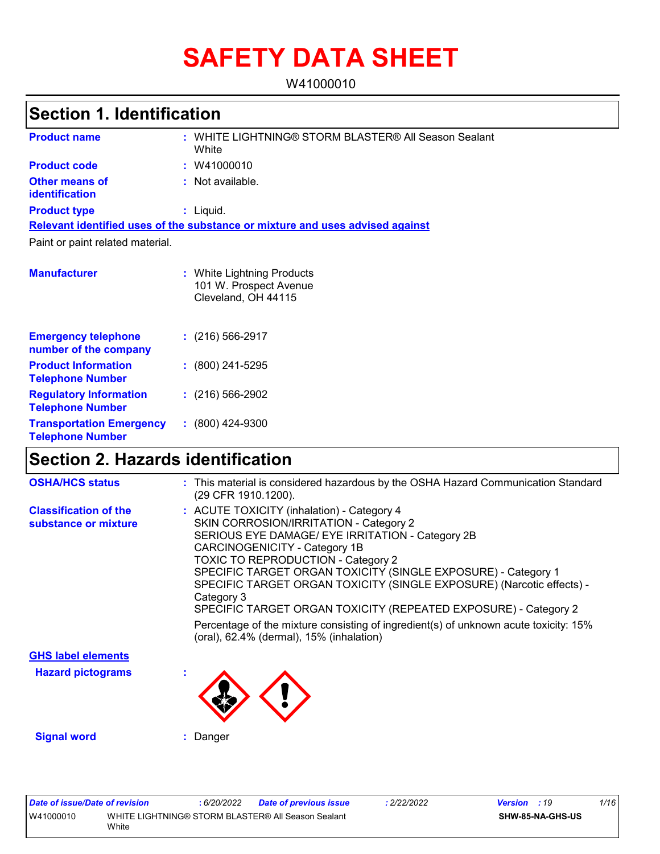# **SAFETY DATA SHEET**

W41000010

# **Section 1. Identification**

| <b>Product name</b>                                      | WHITE LIGHTNING® STORM BLASTER® All Season Sealant<br>White                   |
|----------------------------------------------------------|-------------------------------------------------------------------------------|
| <b>Product code</b>                                      | : W41000010                                                                   |
| <b>Other means of</b><br><b>identification</b>           | : Not available.                                                              |
| <b>Product type</b>                                      | $:$ Liquid.                                                                   |
|                                                          | Relevant identified uses of the substance or mixture and uses advised against |
| Paint or paint related material.                         |                                                                               |
|                                                          |                                                                               |
| <b>Manufacturer</b>                                      | : White Lightning Products<br>101 W. Prospect Avenue<br>Cleveland, OH 44115   |
| <b>Emergency telephone</b><br>number of the company      | $: (216) 566 - 2917$                                                          |
| <b>Product Information</b><br><b>Telephone Number</b>    | $: (800)$ 241-5295                                                            |
| <b>Regulatory Information</b><br><b>Telephone Number</b> | $: (216) 566 - 2902$                                                          |
| <b>Transportation Emergency</b>                          | $(800)$ 424-9300<br>÷.                                                        |

# **Section 2. Hazards identification**

| <b>OSHA/HCS status</b>                               | : This material is considered hazardous by the OSHA Hazard Communication Standard<br>(29 CFR 1910.1200).                                                                                                                                                                                                                                                                                                                                          |
|------------------------------------------------------|---------------------------------------------------------------------------------------------------------------------------------------------------------------------------------------------------------------------------------------------------------------------------------------------------------------------------------------------------------------------------------------------------------------------------------------------------|
| <b>Classification of the</b><br>substance or mixture | : ACUTE TOXICITY (inhalation) - Category 4<br>SKIN CORROSION/IRRITATION - Category 2<br>SERIOUS EYE DAMAGE/ EYE IRRITATION - Category 2B<br>CARCINOGENICITY - Category 1B<br><b>TOXIC TO REPRODUCTION - Category 2</b><br>SPECIFIC TARGET ORGAN TOXICITY (SINGLE EXPOSURE) - Category 1<br>SPECIFIC TARGET ORGAN TOXICITY (SINGLE EXPOSURE) (Narcotic effects) -<br>Category 3<br>SPECIFIC TARGET ORGAN TOXICITY (REPEATED EXPOSURE) - Category 2 |
|                                                      | Percentage of the mixture consisting of ingredient(s) of unknown acute toxicity: 15%<br>(oral), 62.4% (dermal), 15% (inhalation)                                                                                                                                                                                                                                                                                                                  |
| <b>GHS label elements</b>                            |                                                                                                                                                                                                                                                                                                                                                                                                                                                   |

**Hazard pictograms :**

**Telephone Number**



**Signal word :** Danger

|           | <b>Date of issue/Date of revision</b> | 6/20/2022 | <b>Date of previous issue</b>                      | 2/22/2022 | <b>Version</b> : 19 | 1/16 |
|-----------|---------------------------------------|-----------|----------------------------------------------------|-----------|---------------------|------|
| W41000010 |                                       |           | WHITE LIGHTNING® STORM BLASTER® All Season Sealant |           | SHW-85-NA-GHS-US    |      |
|           | White                                 |           |                                                    |           |                     |      |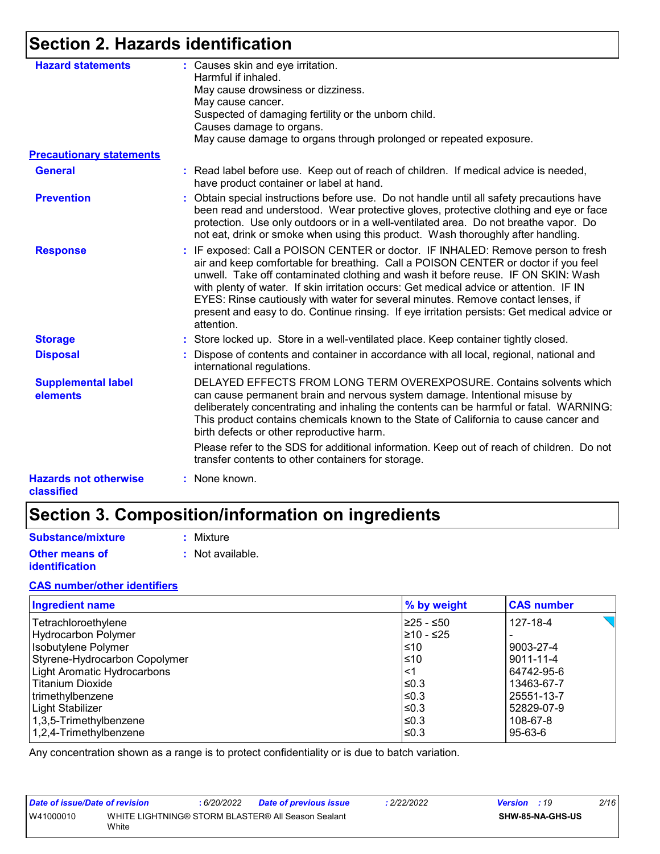# **Section 2. Hazards identification**

| <b>Hazard statements</b>                   | : Causes skin and eye irritation.<br>Harmful if inhaled.                                                                                                                                                                                                                                                                                                                                                                                                                                                                                                |
|--------------------------------------------|---------------------------------------------------------------------------------------------------------------------------------------------------------------------------------------------------------------------------------------------------------------------------------------------------------------------------------------------------------------------------------------------------------------------------------------------------------------------------------------------------------------------------------------------------------|
|                                            | May cause drowsiness or dizziness.                                                                                                                                                                                                                                                                                                                                                                                                                                                                                                                      |
|                                            | May cause cancer.                                                                                                                                                                                                                                                                                                                                                                                                                                                                                                                                       |
|                                            | Suspected of damaging fertility or the unborn child.                                                                                                                                                                                                                                                                                                                                                                                                                                                                                                    |
|                                            | Causes damage to organs.                                                                                                                                                                                                                                                                                                                                                                                                                                                                                                                                |
|                                            | May cause damage to organs through prolonged or repeated exposure.                                                                                                                                                                                                                                                                                                                                                                                                                                                                                      |
| <b>Precautionary statements</b>            |                                                                                                                                                                                                                                                                                                                                                                                                                                                                                                                                                         |
| <b>General</b>                             | : Read label before use. Keep out of reach of children. If medical advice is needed,<br>have product container or label at hand.                                                                                                                                                                                                                                                                                                                                                                                                                        |
| <b>Prevention</b>                          | : Obtain special instructions before use. Do not handle until all safety precautions have<br>been read and understood. Wear protective gloves, protective clothing and eye or face<br>protection. Use only outdoors or in a well-ventilated area. Do not breathe vapor. Do<br>not eat, drink or smoke when using this product. Wash thoroughly after handling.                                                                                                                                                                                          |
| <b>Response</b>                            | : IF exposed: Call a POISON CENTER or doctor. IF INHALED: Remove person to fresh<br>air and keep comfortable for breathing. Call a POISON CENTER or doctor if you feel<br>unwell. Take off contaminated clothing and wash it before reuse. IF ON SKIN: Wash<br>with plenty of water. If skin irritation occurs: Get medical advice or attention. IF IN<br>EYES: Rinse cautiously with water for several minutes. Remove contact lenses, if<br>present and easy to do. Continue rinsing. If eye irritation persists: Get medical advice or<br>attention. |
| <b>Storage</b>                             | : Store locked up. Store in a well-ventilated place. Keep container tightly closed.                                                                                                                                                                                                                                                                                                                                                                                                                                                                     |
| <b>Disposal</b>                            | : Dispose of contents and container in accordance with all local, regional, national and<br>international regulations.                                                                                                                                                                                                                                                                                                                                                                                                                                  |
| <b>Supplemental label</b><br>elements      | DELAYED EFFECTS FROM LONG TERM OVEREXPOSURE. Contains solvents which<br>can cause permanent brain and nervous system damage. Intentional misuse by<br>deliberately concentrating and inhaling the contents can be harmful or fatal. WARNING:<br>This product contains chemicals known to the State of California to cause cancer and<br>birth defects or other reproductive harm.                                                                                                                                                                       |
|                                            | Please refer to the SDS for additional information. Keep out of reach of children. Do not<br>transfer contents to other containers for storage.                                                                                                                                                                                                                                                                                                                                                                                                         |
| <b>Hazards not otherwise</b><br>classified | : None known.                                                                                                                                                                                                                                                                                                                                                                                                                                                                                                                                           |

# **Section 3. Composition/information on ingredients**

| Substance/mixture     | : Mixture        |
|-----------------------|------------------|
| <b>Other means of</b> | : Not available. |
| identification        |                  |

#### **CAS number/other identifiers**

| <b>Ingredient name</b>        | % by weight | <b>CAS number</b> |
|-------------------------------|-------------|-------------------|
| Tetrachloroethylene           | l≥25 - ≤50  | 127-18-4          |
| <b>Hydrocarbon Polymer</b>    | $≥10 - ≤25$ |                   |
| Isobutylene Polymer           | ≤10         | 9003-27-4         |
| Styrene-Hydrocarbon Copolymer | ≤10         | 9011-11-4         |
| Light Aromatic Hydrocarbons   | <1          | 64742-95-6        |
| <b>Titanium Dioxide</b>       | ≤0.3        | 13463-67-7        |
| trimethylbenzene              | ≤0.3        | 25551-13-7        |
| Light Stabilizer              | ≤0.3        | 52829-07-9        |
| 1,3,5-Trimethylbenzene        | ≤0.3        | 108-67-8          |
| 1,2,4-Trimethylbenzene        | ≤0.3        | 95-63-6           |

Any concentration shown as a range is to protect confidentiality or is due to batch variation.

| Date of issue/Date of revision |       | 6/20/2022 | <b>Date of previous issue</b>                      | .2/22/2022 | <b>Version</b> : 19 |                  | 2/16 |
|--------------------------------|-------|-----------|----------------------------------------------------|------------|---------------------|------------------|------|
| W41000010                      | White |           | WHITE LIGHTNING® STORM BLASTER® All Season Sealant |            |                     | SHW-85-NA-GHS-US |      |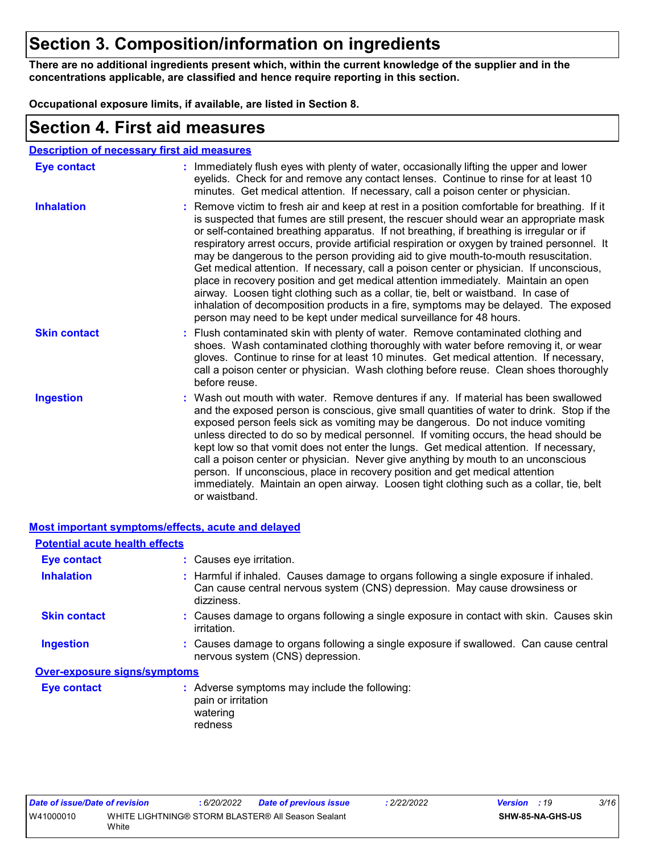# **Section 3. Composition/information on ingredients**

**There are no additional ingredients present which, within the current knowledge of the supplier and in the concentrations applicable, are classified and hence require reporting in this section.**

**Occupational exposure limits, if available, are listed in Section 8.**

### **Section 4. First aid measures**

| <b>Description of necessary first aid measures</b> |
|----------------------------------------------------|
|----------------------------------------------------|

| <b>Eye contact</b>  | : Immediately flush eyes with plenty of water, occasionally lifting the upper and lower<br>eyelids. Check for and remove any contact lenses. Continue to rinse for at least 10<br>minutes. Get medical attention. If necessary, call a poison center or physician.                                                                                                                                                                                                                                                                                                                                                                                                                                                                                                                                                                                                                                             |
|---------------------|----------------------------------------------------------------------------------------------------------------------------------------------------------------------------------------------------------------------------------------------------------------------------------------------------------------------------------------------------------------------------------------------------------------------------------------------------------------------------------------------------------------------------------------------------------------------------------------------------------------------------------------------------------------------------------------------------------------------------------------------------------------------------------------------------------------------------------------------------------------------------------------------------------------|
| <b>Inhalation</b>   | : Remove victim to fresh air and keep at rest in a position comfortable for breathing. If it<br>is suspected that fumes are still present, the rescuer should wear an appropriate mask<br>or self-contained breathing apparatus. If not breathing, if breathing is irregular or if<br>respiratory arrest occurs, provide artificial respiration or oxygen by trained personnel. It<br>may be dangerous to the person providing aid to give mouth-to-mouth resuscitation.<br>Get medical attention. If necessary, call a poison center or physician. If unconscious,<br>place in recovery position and get medical attention immediately. Maintain an open<br>airway. Loosen tight clothing such as a collar, tie, belt or waistband. In case of<br>inhalation of decomposition products in a fire, symptoms may be delayed. The exposed<br>person may need to be kept under medical surveillance for 48 hours. |
| <b>Skin contact</b> | : Flush contaminated skin with plenty of water. Remove contaminated clothing and<br>shoes. Wash contaminated clothing thoroughly with water before removing it, or wear<br>gloves. Continue to rinse for at least 10 minutes. Get medical attention. If necessary,<br>call a poison center or physician. Wash clothing before reuse. Clean shoes thoroughly<br>before reuse.                                                                                                                                                                                                                                                                                                                                                                                                                                                                                                                                   |
| <b>Ingestion</b>    | : Wash out mouth with water. Remove dentures if any. If material has been swallowed<br>and the exposed person is conscious, give small quantities of water to drink. Stop if the<br>exposed person feels sick as vomiting may be dangerous. Do not induce vomiting<br>unless directed to do so by medical personnel. If vomiting occurs, the head should be<br>kept low so that vomit does not enter the lungs. Get medical attention. If necessary,<br>call a poison center or physician. Never give anything by mouth to an unconscious<br>person. If unconscious, place in recovery position and get medical attention<br>immediately. Maintain an open airway. Loosen tight clothing such as a collar, tie, belt<br>or waistband.                                                                                                                                                                          |

#### **Most important symptoms/effects, acute and delayed**

| <b>Potential acute health effects</b> |                                                                                                                                                                                   |
|---------------------------------------|-----------------------------------------------------------------------------------------------------------------------------------------------------------------------------------|
| <b>Eye contact</b>                    | : Causes eye irritation.                                                                                                                                                          |
| <b>Inhalation</b>                     | : Harmful if inhaled. Causes damage to organs following a single exposure if inhaled.<br>Can cause central nervous system (CNS) depression. May cause drowsiness or<br>dizziness. |
| <b>Skin contact</b>                   | : Causes damage to organs following a single exposure in contact with skin. Causes skin<br>irritation.                                                                            |
| <b>Ingestion</b>                      | : Causes damage to organs following a single exposure if swallowed. Can cause central<br>nervous system (CNS) depression.                                                         |
| <b>Over-exposure signs/symptoms</b>   |                                                                                                                                                                                   |
| Eye contact                           | : Adverse symptoms may include the following:<br>pain or irritation<br>watering<br>redness                                                                                        |

| Date of issue/Date of revision |       | 6/20/2022 | <b>Date of previous issue</b>                      | : 2/22/2022 | <b>Version</b> : 19 | 3/16 |  |
|--------------------------------|-------|-----------|----------------------------------------------------|-------------|---------------------|------|--|
| W41000010                      | White |           | WHITE LIGHTNING® STORM BLASTER® All Season Sealant |             | SHW-85-NA-GHS-US    |      |  |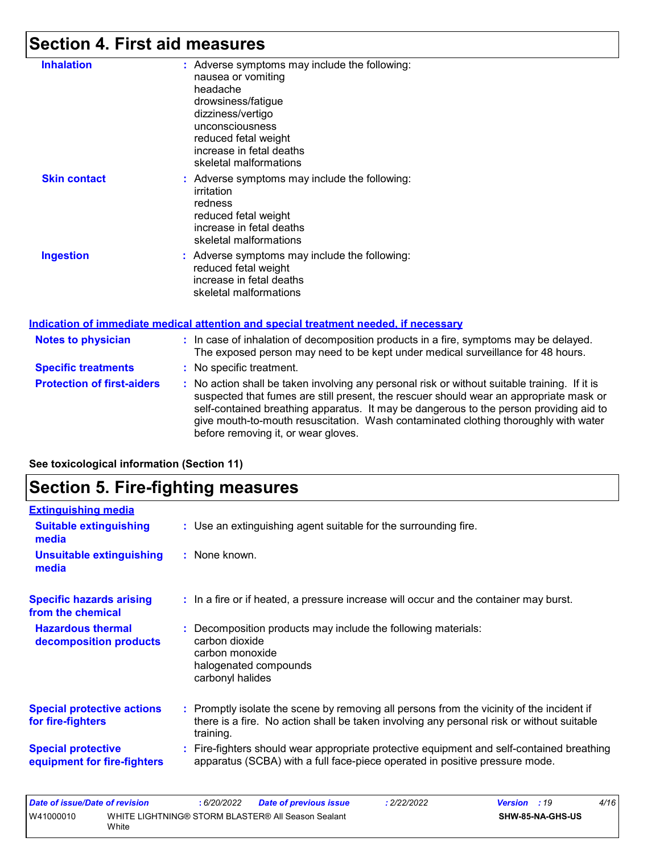# **Section 4. First aid measures**

| <b>Inhalation</b>                 | Adverse symptoms may include the following:<br>nausea or vomiting<br>headache<br>drowsiness/fatigue<br>dizziness/vertigo<br>unconsciousness<br>reduced fetal weight<br>increase in fetal deaths<br>skeletal malformations                                                                                                                                                                                     |
|-----------------------------------|---------------------------------------------------------------------------------------------------------------------------------------------------------------------------------------------------------------------------------------------------------------------------------------------------------------------------------------------------------------------------------------------------------------|
| <b>Skin contact</b>               | Adverse symptoms may include the following:<br>irritation<br>redness<br>reduced fetal weight<br>increase in fetal deaths<br>skeletal malformations                                                                                                                                                                                                                                                            |
| <b>Ingestion</b>                  | : Adverse symptoms may include the following:<br>reduced fetal weight<br>increase in fetal deaths<br>skeletal malformations                                                                                                                                                                                                                                                                                   |
|                                   | Indication of immediate medical attention and special treatment needed, if necessary                                                                                                                                                                                                                                                                                                                          |
| <b>Notes to physician</b>         | : In case of inhalation of decomposition products in a fire, symptoms may be delayed.<br>The exposed person may need to be kept under medical surveillance for 48 hours.                                                                                                                                                                                                                                      |
| <b>Specific treatments</b>        | No specific treatment.                                                                                                                                                                                                                                                                                                                                                                                        |
| <b>Protection of first-aiders</b> | No action shall be taken involving any personal risk or without suitable training. If it is<br>suspected that fumes are still present, the rescuer should wear an appropriate mask or<br>self-contained breathing apparatus. It may be dangerous to the person providing aid to<br>give mouth-to-mouth resuscitation. Wash contaminated clothing thoroughly with water<br>before removing it, or wear gloves. |

|                                                          | <b>Section 5. Fire-fighting measures</b>                                                                                                                                                            |  |  |  |
|----------------------------------------------------------|-----------------------------------------------------------------------------------------------------------------------------------------------------------------------------------------------------|--|--|--|
| <b>Extinguishing media</b>                               |                                                                                                                                                                                                     |  |  |  |
| <b>Suitable extinguishing</b><br>media                   | : Use an extinguishing agent suitable for the surrounding fire.                                                                                                                                     |  |  |  |
| <b>Unsuitable extinguishing</b><br>media                 | : None known.                                                                                                                                                                                       |  |  |  |
| <b>Specific hazards arising</b><br>from the chemical     | : In a fire or if heated, a pressure increase will occur and the container may burst.                                                                                                               |  |  |  |
| <b>Hazardous thermal</b><br>decomposition products       | Decomposition products may include the following materials:<br>carbon dioxide<br>carbon monoxide<br>halogenated compounds<br>carbonyl halides                                                       |  |  |  |
| <b>Special protective actions</b><br>for fire-fighters   | : Promptly isolate the scene by removing all persons from the vicinity of the incident if<br>there is a fire. No action shall be taken involving any personal risk or without suitable<br>training. |  |  |  |
| <b>Special protective</b><br>equipment for fire-fighters | Fire-fighters should wear appropriate protective equipment and self-contained breathing<br>apparatus (SCBA) with a full face-piece operated in positive pressure mode.                              |  |  |  |

**See toxicological information (Section 11)**

| Date of issue/Date of revision |       | 6/20/2022 | <b>Date of previous issue</b>                      | : 2/22/2022 | <b>Version</b> : 19 |                         | 4/16 |
|--------------------------------|-------|-----------|----------------------------------------------------|-------------|---------------------|-------------------------|------|
| W41000010                      | White |           | WHITE LIGHTNING® STORM BLASTER® All Season Sealant |             |                     | <b>SHW-85-NA-GHS-US</b> |      |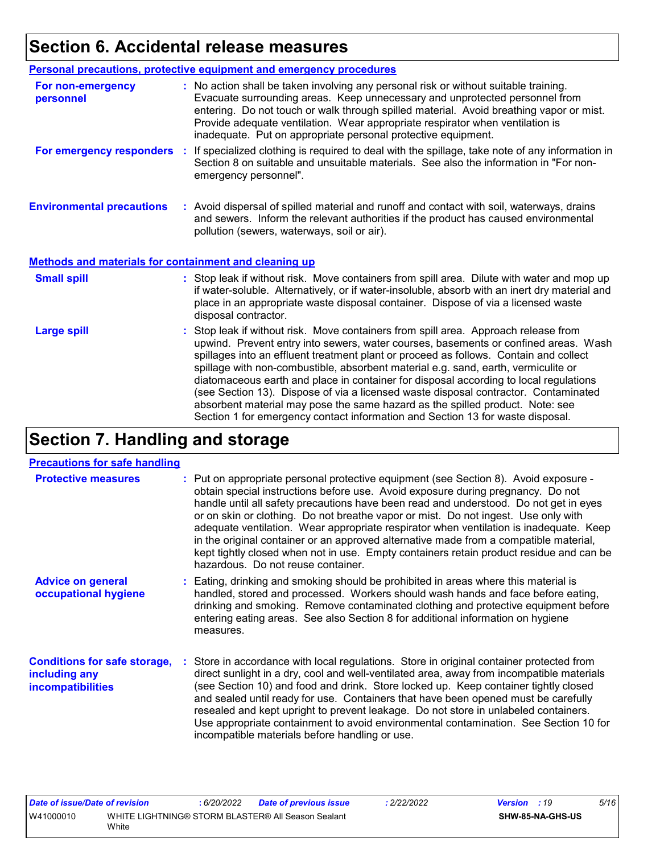# **Section 6. Accidental release measures**

|                                                              | Personal precautions, protective equipment and emergency procedures                                                                                                                                                                                                                                                                                                                                                                                                                                                                                                                                                                                                                                          |
|--------------------------------------------------------------|--------------------------------------------------------------------------------------------------------------------------------------------------------------------------------------------------------------------------------------------------------------------------------------------------------------------------------------------------------------------------------------------------------------------------------------------------------------------------------------------------------------------------------------------------------------------------------------------------------------------------------------------------------------------------------------------------------------|
| For non-emergency<br>personnel                               | : No action shall be taken involving any personal risk or without suitable training.<br>Evacuate surrounding areas. Keep unnecessary and unprotected personnel from<br>entering. Do not touch or walk through spilled material. Avoid breathing vapor or mist.<br>Provide adequate ventilation. Wear appropriate respirator when ventilation is<br>inadequate. Put on appropriate personal protective equipment.                                                                                                                                                                                                                                                                                             |
| For emergency responders                                     | : If specialized clothing is required to deal with the spillage, take note of any information in<br>Section 8 on suitable and unsuitable materials. See also the information in "For non-<br>emergency personnel".                                                                                                                                                                                                                                                                                                                                                                                                                                                                                           |
| <b>Environmental precautions</b>                             | : Avoid dispersal of spilled material and runoff and contact with soil, waterways, drains<br>and sewers. Inform the relevant authorities if the product has caused environmental<br>pollution (sewers, waterways, soil or air).                                                                                                                                                                                                                                                                                                                                                                                                                                                                              |
| <b>Methods and materials for containment and cleaning up</b> |                                                                                                                                                                                                                                                                                                                                                                                                                                                                                                                                                                                                                                                                                                              |
| <b>Small spill</b>                                           | : Stop leak if without risk. Move containers from spill area. Dilute with water and mop up<br>if water-soluble. Alternatively, or if water-insoluble, absorb with an inert dry material and<br>place in an appropriate waste disposal container. Dispose of via a licensed waste<br>disposal contractor.                                                                                                                                                                                                                                                                                                                                                                                                     |
| <b>Large spill</b>                                           | : Stop leak if without risk. Move containers from spill area. Approach release from<br>upwind. Prevent entry into sewers, water courses, basements or confined areas. Wash<br>spillages into an effluent treatment plant or proceed as follows. Contain and collect<br>spillage with non-combustible, absorbent material e.g. sand, earth, vermiculite or<br>diatomaceous earth and place in container for disposal according to local regulations<br>(see Section 13). Dispose of via a licensed waste disposal contractor. Contaminated<br>absorbent material may pose the same hazard as the spilled product. Note: see<br>Section 1 for emergency contact information and Section 13 for waste disposal. |

# **Section 7. Handling and storage**

#### **Precautions for safe handling**

| <u><b>IVOGGEDIO IOI CAIS HAHAIIII</b></u>                                 |                                                                                                                                                                                                                                                                                                                                                                                                                                                                                                                                                                                                                                                                            |
|---------------------------------------------------------------------------|----------------------------------------------------------------------------------------------------------------------------------------------------------------------------------------------------------------------------------------------------------------------------------------------------------------------------------------------------------------------------------------------------------------------------------------------------------------------------------------------------------------------------------------------------------------------------------------------------------------------------------------------------------------------------|
| <b>Protective measures</b>                                                | : Put on appropriate personal protective equipment (see Section 8). Avoid exposure -<br>obtain special instructions before use. Avoid exposure during pregnancy. Do not<br>handle until all safety precautions have been read and understood. Do not get in eyes<br>or on skin or clothing. Do not breathe vapor or mist. Do not ingest. Use only with<br>adequate ventilation. Wear appropriate respirator when ventilation is inadequate. Keep<br>in the original container or an approved alternative made from a compatible material,<br>kept tightly closed when not in use. Empty containers retain product residue and can be<br>hazardous. Do not reuse container. |
| <b>Advice on general</b><br>occupational hygiene                          | : Eating, drinking and smoking should be prohibited in areas where this material is<br>handled, stored and processed. Workers should wash hands and face before eating,<br>drinking and smoking. Remove contaminated clothing and protective equipment before<br>entering eating areas. See also Section 8 for additional information on hygiene<br>measures.                                                                                                                                                                                                                                                                                                              |
| <b>Conditions for safe storage,</b><br>including any<br>incompatibilities | : Store in accordance with local regulations. Store in original container protected from<br>direct sunlight in a dry, cool and well-ventilated area, away from incompatible materials<br>(see Section 10) and food and drink. Store locked up. Keep container tightly closed<br>and sealed until ready for use. Containers that have been opened must be carefully<br>resealed and kept upright to prevent leakage. Do not store in unlabeled containers.<br>Use appropriate containment to avoid environmental contamination. See Section 10 for<br>incompatible materials before handling or use.                                                                        |

| Date of issue/Date of revision |       | .6/20/2022 | <b>Date of previous issue</b>                      | 2/22/2022 | <b>Version</b> : 19 | 5/16 |
|--------------------------------|-------|------------|----------------------------------------------------|-----------|---------------------|------|
| W41000010                      |       |            | WHITE LIGHTNING® STORM BLASTER® All Season Sealant |           | SHW-85-NA-GHS-US    |      |
|                                | White |            |                                                    |           |                     |      |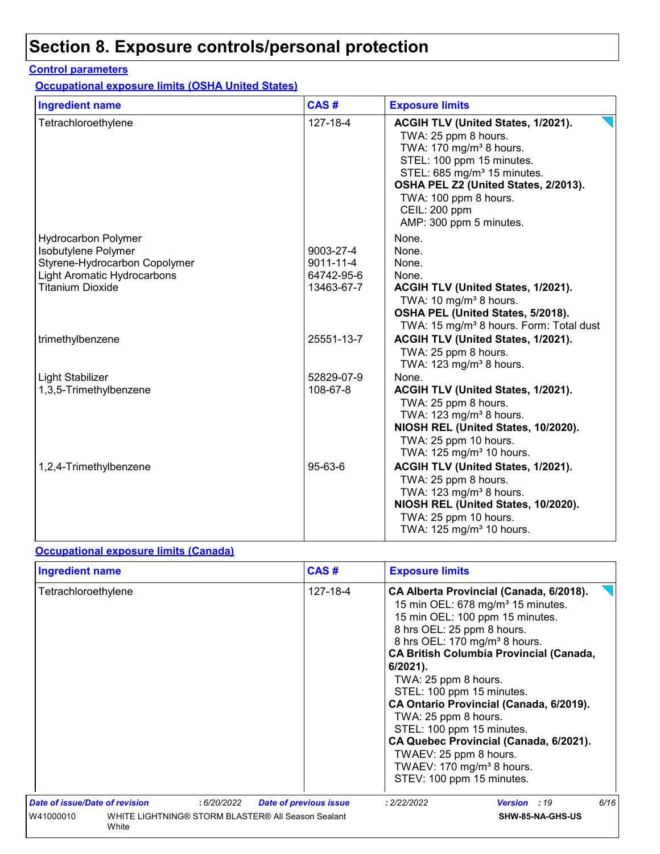# **Section 8. Exposure controls/personal protection**

#### **Control parameters**

**Occupational exposure limits (OSHA United States)**

| <b>Ingredient name</b>             | CAS#       | <b>Exposure limits</b>                                                                                                                                                                                                                                                                        |
|------------------------------------|------------|-----------------------------------------------------------------------------------------------------------------------------------------------------------------------------------------------------------------------------------------------------------------------------------------------|
| Tetrachloroethylene                | 127-18-4   | ACGIH TLV (United States, 1/2021).<br>TWA: 25 ppm 8 hours.<br>TWA: 170 mg/m <sup>3</sup> 8 hours.<br>STEL: 100 ppm 15 minutes.<br>STEL: 685 mg/m <sup>3</sup> 15 minutes.<br>OSHA PEL Z2 (United States, 2/2013).<br>TWA: 100 ppm 8 hours.<br><b>CEIL: 200 ppm</b><br>AMP: 300 ppm 5 minutes. |
| <b>Hydrocarbon Polymer</b>         |            | None.                                                                                                                                                                                                                                                                                         |
| Isobutylene Polymer                | 9003-27-4  | None.                                                                                                                                                                                                                                                                                         |
| Styrene-Hydrocarbon Copolymer      | 9011-11-4  | None.                                                                                                                                                                                                                                                                                         |
| <b>Light Aromatic Hydrocarbons</b> | 64742-95-6 | None.                                                                                                                                                                                                                                                                                         |
| <b>Titanium Dioxide</b>            | 13463-67-7 | ACGIH TLV (United States, 1/2021).                                                                                                                                                                                                                                                            |
|                                    |            | TWA: 10 mg/m <sup>3</sup> 8 hours.                                                                                                                                                                                                                                                            |
|                                    |            | OSHA PEL (United States, 5/2018).<br>TWA: 15 mg/m <sup>3</sup> 8 hours. Form: Total dust                                                                                                                                                                                                      |
| trimethylbenzene                   | 25551-13-7 | ACGIH TLV (United States, 1/2021).                                                                                                                                                                                                                                                            |
|                                    |            | TWA: 25 ppm 8 hours.                                                                                                                                                                                                                                                                          |
|                                    |            | TWA: 123 mg/m <sup>3</sup> 8 hours.                                                                                                                                                                                                                                                           |
| Light Stabilizer                   | 52829-07-9 | None.                                                                                                                                                                                                                                                                                         |
| 1,3,5-Trimethylbenzene             | 108-67-8   | ACGIH TLV (United States, 1/2021).                                                                                                                                                                                                                                                            |
|                                    |            | TWA: 25 ppm 8 hours.                                                                                                                                                                                                                                                                          |
|                                    |            | TWA: 123 mg/m <sup>3</sup> 8 hours.                                                                                                                                                                                                                                                           |
|                                    |            | NIOSH REL (United States, 10/2020).                                                                                                                                                                                                                                                           |
|                                    |            | TWA: 25 ppm 10 hours.                                                                                                                                                                                                                                                                         |
|                                    |            | TWA: 125 mg/m <sup>3</sup> 10 hours.                                                                                                                                                                                                                                                          |
| 1,2,4-Trimethylbenzene             | 95-63-6    | ACGIH TLV (United States, 1/2021).                                                                                                                                                                                                                                                            |
|                                    |            | TWA: 25 ppm 8 hours.                                                                                                                                                                                                                                                                          |
|                                    |            | TWA: 123 mg/m <sup>3</sup> 8 hours.                                                                                                                                                                                                                                                           |
|                                    |            | NIOSH REL (United States, 10/2020).                                                                                                                                                                                                                                                           |
|                                    |            | TWA: 25 ppm 10 hours.<br>TWA: 125 mg/m <sup>3</sup> 10 hours.                                                                                                                                                                                                                                 |
|                                    |            |                                                                                                                                                                                                                                                                                               |

#### **Occupational exposure limits (Canada)**

| <b>Ingredient name</b>                                                   | CAS#                                         | <b>Exposure limits</b>                                                                                                                                                                                                                                                                                                                                                                                                                                                                                                                                                   |
|--------------------------------------------------------------------------|----------------------------------------------|--------------------------------------------------------------------------------------------------------------------------------------------------------------------------------------------------------------------------------------------------------------------------------------------------------------------------------------------------------------------------------------------------------------------------------------------------------------------------------------------------------------------------------------------------------------------------|
| Tetrachloroethylene                                                      | 127-18-4                                     | CA Alberta Provincial (Canada, 6/2018).<br>15 min OEL: $678$ mg/m <sup>3</sup> 15 minutes.<br>15 min OEL: 100 ppm 15 minutes.<br>8 hrs OEL: 25 ppm 8 hours.<br>8 hrs OEL: 170 mg/m <sup>3</sup> 8 hours.<br><b>CA British Columbia Provincial (Canada,</b><br>$6/2021$ ).<br>TWA: 25 ppm 8 hours.<br>STEL: 100 ppm 15 minutes.<br>CA Ontario Provincial (Canada, 6/2019).<br>TWA: 25 ppm 8 hours.<br>STEL: 100 ppm 15 minutes.<br>CA Quebec Provincial (Canada, 6/2021).<br>TWAEV: 25 ppm 8 hours.<br>TWAEV: 170 mg/m <sup>3</sup> 8 hours.<br>STEV: 100 ppm 15 minutes. |
| <b>Date of issue/Date of revision</b>                                    | : 6/20/2022<br><b>Date of previous issue</b> | 6/16<br>: 2/22/2022<br><b>Version</b> : 19                                                                                                                                                                                                                                                                                                                                                                                                                                                                                                                               |
| WHITE LIGHTNING® STORM BLASTER® All Season Sealant<br>W41000010<br>White |                                              | SHW-85-NA-GHS-US                                                                                                                                                                                                                                                                                                                                                                                                                                                                                                                                                         |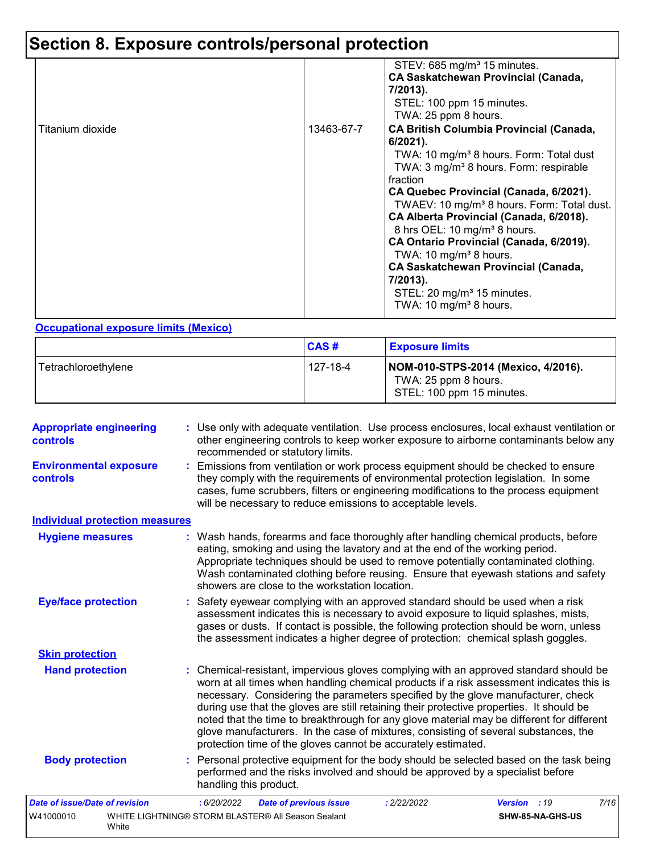# **Section 8. Exposure controls/personal protection**

|                  |            | STEV: 685 mg/m <sup>3</sup> 15 minutes.<br><b>CA Saskatchewan Provincial (Canada,</b><br>7/2013).<br>STEL: 100 ppm 15 minutes.<br>TWA: 25 ppm 8 hours.                                                                                                                                                                                                                                                                                                                                                                                                                                                      |
|------------------|------------|-------------------------------------------------------------------------------------------------------------------------------------------------------------------------------------------------------------------------------------------------------------------------------------------------------------------------------------------------------------------------------------------------------------------------------------------------------------------------------------------------------------------------------------------------------------------------------------------------------------|
| Titanium dioxide | 13463-67-7 | <b>CA British Columbia Provincial (Canada,</b><br>$6/2021$ ).<br>TWA: 10 mg/m <sup>3</sup> 8 hours. Form: Total dust<br>TWA: $3 \text{ mg/m}^3$ 8 hours. Form: respirable<br>fraction<br>CA Quebec Provincial (Canada, 6/2021).<br>TWAEV: 10 mg/m <sup>3</sup> 8 hours. Form: Total dust.<br>CA Alberta Provincial (Canada, 6/2018).<br>8 hrs OEL: 10 mg/m <sup>3</sup> 8 hours.<br>CA Ontario Provincial (Canada, 6/2019).<br>TWA: 10 mg/m <sup>3</sup> 8 hours.<br><b>CA Saskatchewan Provincial (Canada,</b><br>7/2013).<br>STEL: 20 mg/m <sup>3</sup> 15 minutes.<br>TWA: 10 mg/m <sup>3</sup> 8 hours. |

#### **Occupational exposure limits (Mexico)**

|                     | CAS#     | <b>Exposure limits</b>                                                                   |
|---------------------|----------|------------------------------------------------------------------------------------------|
| Tetrachloroethylene | 127-18-4 | NOM-010-STPS-2014 (Mexico, 4/2016).<br>TWA: 25 ppm 8 hours.<br>STEL: 100 ppm 15 minutes. |

| <b>Appropriate engineering</b><br>controls | : Use only with adequate ventilation. Use process enclosures, local exhaust ventilation or<br>other engineering controls to keep worker exposure to airborne contaminants below any<br>recommended or statutory limits.                                                                                                                                                                                                                                                                                                                                                                                                |                      |  |
|--------------------------------------------|------------------------------------------------------------------------------------------------------------------------------------------------------------------------------------------------------------------------------------------------------------------------------------------------------------------------------------------------------------------------------------------------------------------------------------------------------------------------------------------------------------------------------------------------------------------------------------------------------------------------|----------------------|--|
| <b>Environmental exposure</b><br>controls  | : Emissions from ventilation or work process equipment should be checked to ensure<br>they comply with the requirements of environmental protection legislation. In some<br>cases, fume scrubbers, filters or engineering modifications to the process equipment<br>will be necessary to reduce emissions to acceptable levels.                                                                                                                                                                                                                                                                                        |                      |  |
| <b>Individual protection measures</b>      |                                                                                                                                                                                                                                                                                                                                                                                                                                                                                                                                                                                                                        |                      |  |
| <b>Hygiene measures</b>                    | : Wash hands, forearms and face thoroughly after handling chemical products, before<br>eating, smoking and using the lavatory and at the end of the working period.<br>Appropriate techniques should be used to remove potentially contaminated clothing.<br>Wash contaminated clothing before reusing. Ensure that eyewash stations and safety<br>showers are close to the workstation location.                                                                                                                                                                                                                      |                      |  |
| <b>Eye/face protection</b>                 | : Safety eyewear complying with an approved standard should be used when a risk<br>assessment indicates this is necessary to avoid exposure to liquid splashes, mists,<br>gases or dusts. If contact is possible, the following protection should be worn, unless<br>the assessment indicates a higher degree of protection: chemical splash goggles.                                                                                                                                                                                                                                                                  |                      |  |
| <b>Skin protection</b>                     |                                                                                                                                                                                                                                                                                                                                                                                                                                                                                                                                                                                                                        |                      |  |
| <b>Hand protection</b>                     | : Chemical-resistant, impervious gloves complying with an approved standard should be<br>worn at all times when handling chemical products if a risk assessment indicates this is<br>necessary. Considering the parameters specified by the glove manufacturer, check<br>during use that the gloves are still retaining their protective properties. It should be<br>noted that the time to breakthrough for any glove material may be different for different<br>glove manufacturers. In the case of mixtures, consisting of several substances, the<br>protection time of the gloves cannot be accurately estimated. |                      |  |
| <b>Body protection</b>                     | : Personal protective equipment for the body should be selected based on the task being<br>performed and the risks involved and should be approved by a specialist before<br>handling this product.                                                                                                                                                                                                                                                                                                                                                                                                                    |                      |  |
| <b>Date of issue/Date of revision</b>      | : 6/20/2022<br><b>Date of previous issue</b><br>: 2/22/2022                                                                                                                                                                                                                                                                                                                                                                                                                                                                                                                                                            | Version : 19<br>7/16 |  |
| W41000010<br>White                         | WHITE LIGHTNING® STORM BLASTER® All Season Sealant                                                                                                                                                                                                                                                                                                                                                                                                                                                                                                                                                                     | SHW-85-NA-GHS-US     |  |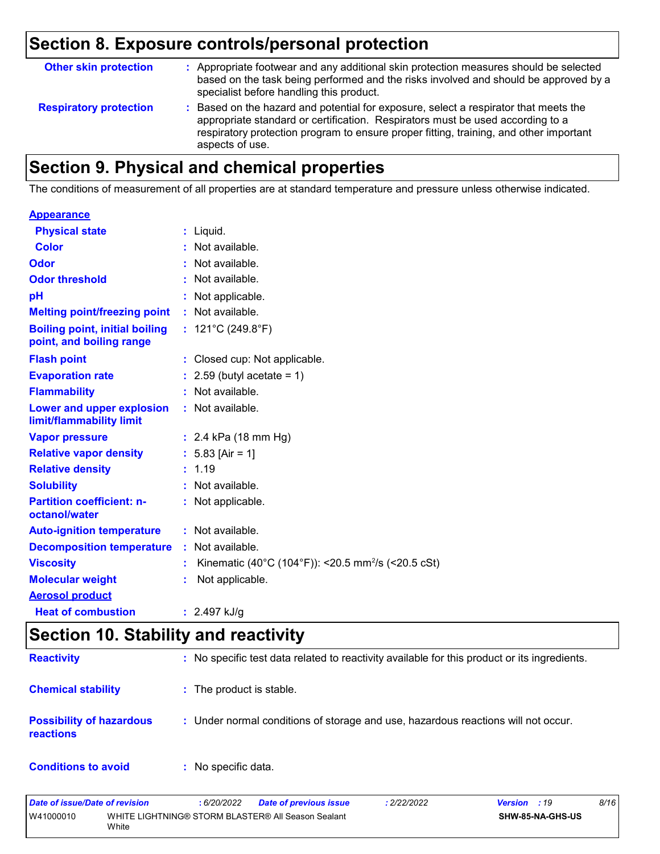# **Section 8. Exposure controls/personal protection**

| <b>Other skin protection</b>  | : Appropriate footwear and any additional skin protection measures should be selected<br>based on the task being performed and the risks involved and should be approved by a<br>specialist before handling this product.                                                           |  |
|-------------------------------|-------------------------------------------------------------------------------------------------------------------------------------------------------------------------------------------------------------------------------------------------------------------------------------|--|
| <b>Respiratory protection</b> | : Based on the hazard and potential for exposure, select a respirator that meets the<br>appropriate standard or certification. Respirators must be used according to a<br>respiratory protection program to ensure proper fitting, training, and other important<br>aspects of use. |  |

### **Section 9. Physical and chemical properties**

The conditions of measurement of all properties are at standard temperature and pressure unless otherwise indicated.

| <b>Appearance</b>                                                 |    |                                                           |
|-------------------------------------------------------------------|----|-----------------------------------------------------------|
| <b>Physical state</b>                                             |    | : Liquid.                                                 |
| <b>Color</b>                                                      |    | Not available.                                            |
| Odor                                                              |    | Not available.                                            |
| <b>Odor threshold</b>                                             |    | : Not available.                                          |
| рH                                                                |    | Not applicable.                                           |
| <b>Melting point/freezing point</b>                               |    | : Not available.                                          |
| <b>Boiling point, initial boiling</b><br>point, and boiling range |    | : $121^{\circ}$ C (249.8 $^{\circ}$ F)                    |
| <b>Flash point</b>                                                | t. | Closed cup: Not applicable.                               |
| <b>Evaporation rate</b>                                           |    | 2.59 (butyl acetate = $1$ )                               |
| <b>Flammability</b>                                               |    | Not available.                                            |
| Lower and upper explosion<br>limit/flammability limit             |    | : Not available.                                          |
| <b>Vapor pressure</b>                                             |    | : 2.4 kPa (18 mm Hg)                                      |
| <b>Relative vapor density</b>                                     |    | : $5.83$ [Air = 1]                                        |
| <b>Relative density</b>                                           |    | : 1.19                                                    |
| <b>Solubility</b>                                                 |    | Not available.                                            |
| <b>Partition coefficient: n-</b><br>octanol/water                 |    | : Not applicable.                                         |
| <b>Auto-ignition temperature</b>                                  |    | : Not available.                                          |
| <b>Decomposition temperature</b>                                  |    | : Not available.                                          |
| <b>Viscosity</b>                                                  | t  | Kinematic (40°C (104°F)): <20.5 mm <sup>2</sup> /s (<20.5 |
| <b>Molecular weight</b>                                           |    | Not applicable.                                           |
| <b>Aerosol product</b>                                            |    |                                                           |
| <b>Heat of combustion</b>                                         |    | : $2.497$ kJ/g                                            |

# **Section 10. Stability and reactivity**

| <b>Reactivity</b>                            | : No specific test data related to reactivity available for this product or its ingredients. |
|----------------------------------------------|----------------------------------------------------------------------------------------------|
| <b>Chemical stability</b>                    | : The product is stable.                                                                     |
| <b>Possibility of hazardous</b><br>reactions | : Under normal conditions of storage and use, hazardous reactions will not occur.            |
| <b>Conditions to avoid</b>                   | No specific data.                                                                            |

cSt)

| Date of issue/Date of revision | 6/20/2022                                          | <b>Date of previous issue</b> | 2/22/2022 | <b>Version</b> : 19     | 8/16 |
|--------------------------------|----------------------------------------------------|-------------------------------|-----------|-------------------------|------|
| W41000010<br>White             | WHITE LIGHTNING® STORM BLASTER® All Season Sealant |                               |           | <b>SHW-85-NA-GHS-US</b> |      |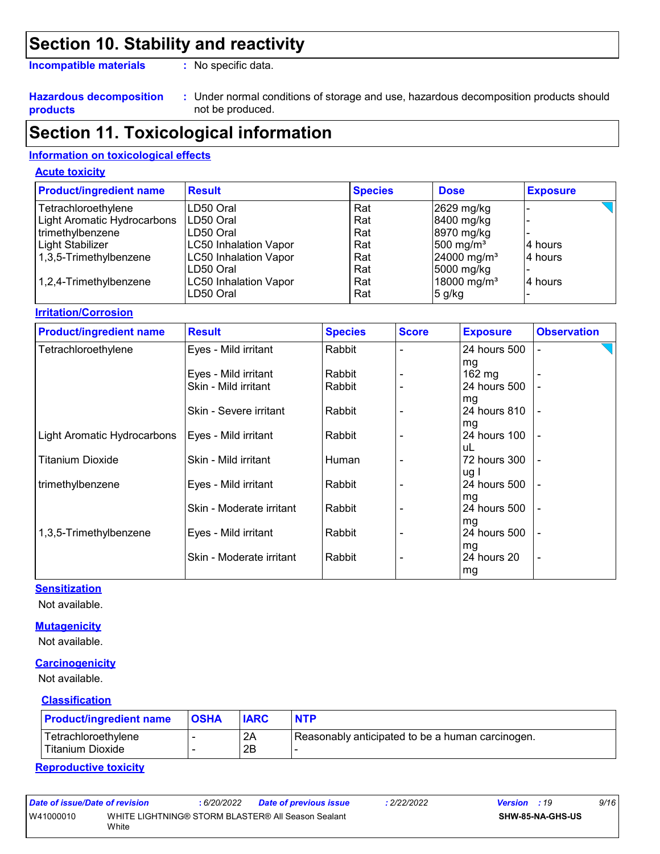## **Section 10. Stability and reactivity**

**Incompatible materials :**

: No specific data.

#### **Hazardous decomposition products**

Under normal conditions of storage and use, hazardous decomposition products should **:** not be produced.

### **Section 11. Toxicological information**

#### **Information on toxicological effects**

#### **Acute toxicity**

| <b>Product/ingredient name</b> | <b>Result</b>                | <b>Species</b> | <b>Dose</b>             | <b>Exposure</b> |
|--------------------------------|------------------------------|----------------|-------------------------|-----------------|
| Tetrachloroethylene            | LD50 Oral                    | Rat            | 2629 mg/kg              |                 |
| Light Aromatic Hydrocarbons    | ILD50 Oral                   | Rat            | 8400 mg/kg              |                 |
| trimethylbenzene               | ILD50 Oral                   | Rat            | 8970 mg/kg              |                 |
| Light Stabilizer               | <b>LC50 Inhalation Vapor</b> | Rat            | 500 mg/m <sup>3</sup>   | 4 hours         |
| 1,3,5-Trimethylbenzene         | LC50 Inhalation Vapor        | Rat            | 24000 mg/m <sup>3</sup> | l4 hours        |
|                                | ILD50 Oral                   | Rat            | 5000 mg/kg              |                 |
| 1,2,4-Trimethylbenzene         | <b>LC50 Inhalation Vapor</b> | Rat            | 18000 mg/m <sup>3</sup> | l4 hours        |
|                                | LD50 Oral                    | Rat            | $5$ g/kg                |                 |

#### **Irritation/Corrosion**

| <b>Product/ingredient name</b> | <b>Result</b>            | <b>Species</b> | <b>Score</b> | <b>Exposure</b>  | <b>Observation</b> |
|--------------------------------|--------------------------|----------------|--------------|------------------|--------------------|
| Tetrachloroethylene            | Eyes - Mild irritant     | Rabbit         |              | 24 hours 500     |                    |
|                                |                          |                |              | mg               |                    |
|                                | Eyes - Mild irritant     | Rabbit         |              | $162 \text{ mg}$ |                    |
|                                | Skin - Mild irritant     | Rabbit         |              | 24 hours 500     |                    |
|                                |                          |                |              | mg               |                    |
|                                | Skin - Severe irritant   | Rabbit         |              | 24 hours 810     |                    |
|                                |                          |                |              | mg               |                    |
| Light Aromatic Hydrocarbons    | Eyes - Mild irritant     | Rabbit         |              | 24 hours 100     |                    |
|                                |                          |                |              | uL               |                    |
| <b>Titanium Dioxide</b>        | Skin - Mild irritant     | Human          |              | 72 hours 300     |                    |
|                                |                          |                |              | ug I             |                    |
| trimethylbenzene               | Eyes - Mild irritant     | Rabbit         |              | 24 hours 500     |                    |
|                                |                          |                |              | mg               |                    |
|                                | Skin - Moderate irritant | Rabbit         |              | 24 hours 500     |                    |
|                                |                          |                |              | mg               |                    |
| 1,3,5-Trimethylbenzene         | Eyes - Mild irritant     | Rabbit         |              | 24 hours 500     |                    |
|                                |                          |                |              | mg               |                    |
|                                | Skin - Moderate irritant | Rabbit         |              | 24 hours 20      | $\overline{a}$     |
|                                |                          |                |              | mg               |                    |

#### **Sensitization**

Not available.

#### **Mutagenicity**

Not available.

#### **Carcinogenicity**

Not available.

#### **Classification**

| <b>Product/ingredient name</b>            | <b>OSHA</b> | <b>IARC</b> | <b>NTP</b>                                       |
|-------------------------------------------|-------------|-------------|--------------------------------------------------|
| Tetrachloroethylene<br>l Titanium Dioxide |             | 2A<br>2B    | Reasonably anticipated to be a human carcinogen. |

#### **Reproductive toxicity**

| Date of issue/Date of revision |       | 6/20/2022 | <b>Date of previous issue</b>                      | 2/22/2022 | <b>Version</b> : 19 |                  | 9/16 |
|--------------------------------|-------|-----------|----------------------------------------------------|-----------|---------------------|------------------|------|
| W41000010                      | White |           | WHITE LIGHTNING® STORM BLASTER® All Season Sealant |           |                     | SHW-85-NA-GHS-US |      |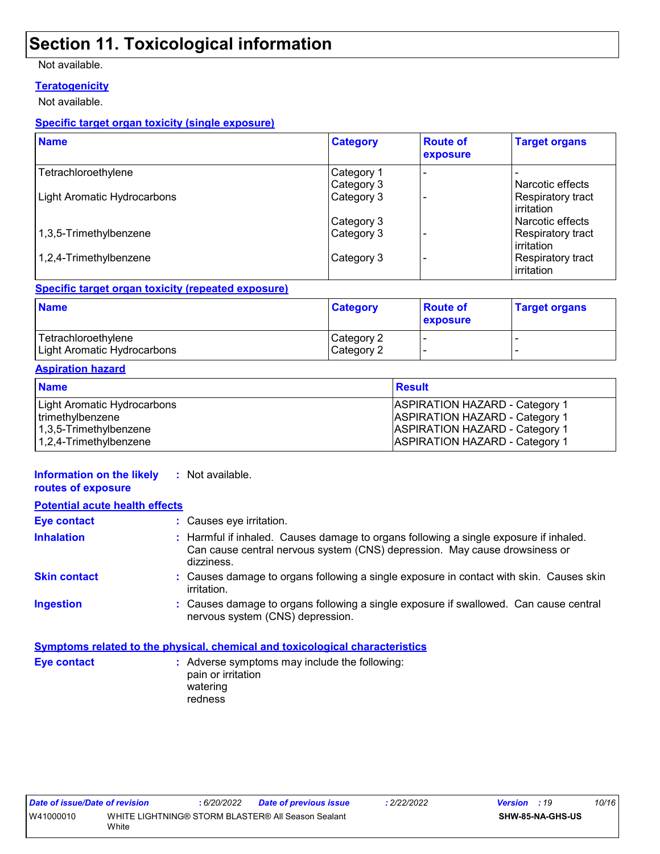## **Section 11. Toxicological information**

#### Not available.

#### **Teratogenicity**

Not available.

#### **Specific target organ toxicity (single exposure)**

| <b>Name</b>                        | <b>Category</b> | <b>Route of</b><br>exposure | <b>Target organs</b>              |
|------------------------------------|-----------------|-----------------------------|-----------------------------------|
| Tetrachloroethylene                | Category 1      |                             |                                   |
|                                    | Category 3      |                             | Narcotic effects                  |
| <b>Light Aromatic Hydrocarbons</b> | Category 3      |                             | Respiratory tract<br>l irritation |
|                                    | Category 3      |                             | Narcotic effects                  |
| 1,3,5-Trimethylbenzene             | Category 3      |                             | Respiratory tract<br>l irritation |
| 1,2,4-Trimethylbenzene             | Category 3      |                             | Respiratory tract<br>irritation   |

#### **Specific target organ toxicity (repeated exposure)**

| <b>Name</b>                 | <b>Category</b> | <b>Route of</b><br><b>exposure</b> | <b>Target organs</b> |
|-----------------------------|-----------------|------------------------------------|----------------------|
| Tetrachloroethylene         | Category 2      |                                    |                      |
| Light Aromatic Hydrocarbons | Category 2      |                                    |                      |

#### **Aspiration hazard**

| <b>Name</b>                 | Result                                |
|-----------------------------|---------------------------------------|
| Light Aromatic Hydrocarbons | <b>ASPIRATION HAZARD - Category 1</b> |
| trimethylbenzene            | <b>ASPIRATION HAZARD - Category 1</b> |
| $ 1,3,5$ -Trimethylbenzene  | <b>ASPIRATION HAZARD - Category 1</b> |
| $1,2,4$ -Trimethylbenzene   | <b>ASPIRATION HAZARD - Category 1</b> |

| Information on the likely<br>routes of exposure | Not available.<br>÷.                                                                                                                                                              |
|-------------------------------------------------|-----------------------------------------------------------------------------------------------------------------------------------------------------------------------------------|
| <b>Potential acute health effects</b>           |                                                                                                                                                                                   |
| <b>Eye contact</b>                              | : Causes eye irritation.                                                                                                                                                          |
| <b>Inhalation</b>                               | : Harmful if inhaled. Causes damage to organs following a single exposure if inhaled.<br>Can cause central nervous system (CNS) depression. May cause drowsiness or<br>dizziness. |
| <b>Skin contact</b>                             | : Causes damage to organs following a single exposure in contact with skin. Causes skin<br><i>irritation.</i>                                                                     |
| <b>Ingestion</b>                                | : Causes damage to organs following a single exposure if swallowed. Can cause central<br>nervous system (CNS) depression.                                                         |
|                                                 | Symptoms related to the physical, chemical and toxicological characteristics                                                                                                      |
| <b>Eye contact</b>                              | : Adverse symptoms may include the following:<br>pain or irritation<br>watering<br>redness                                                                                        |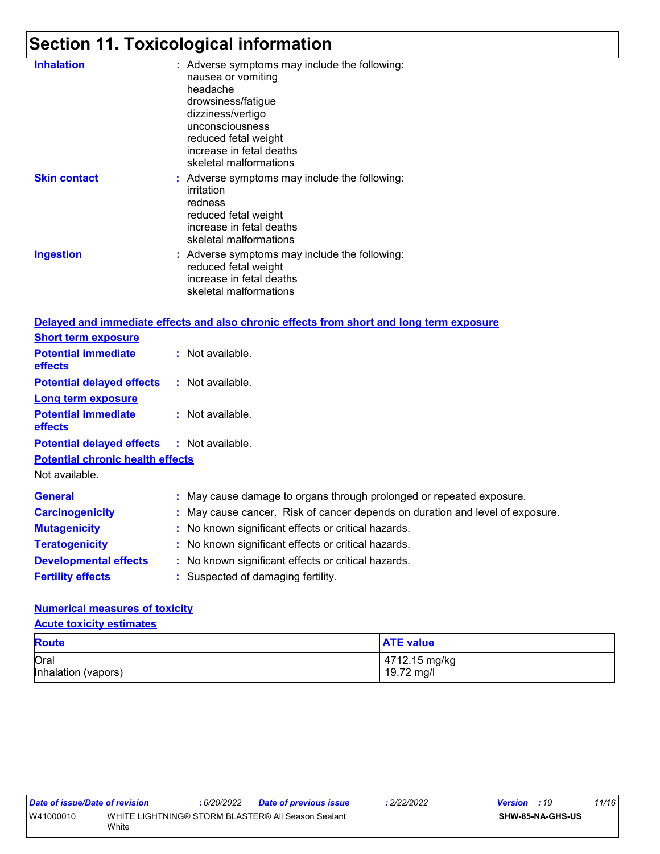# **Section 11. Toxicological information**

| <b>Inhalation</b>                       | : Adverse symptoms may include the following:<br>nausea or vomiting<br>headache<br>drowsiness/fatigue<br>dizziness/vertigo<br>unconsciousness<br>reduced fetal weight<br>increase in fetal deaths<br>skeletal malformations |
|-----------------------------------------|-----------------------------------------------------------------------------------------------------------------------------------------------------------------------------------------------------------------------------|
| <b>Skin contact</b>                     | Adverse symptoms may include the following:<br>irritation<br>redness<br>reduced fetal weight<br>increase in fetal deaths<br>skeletal malformations                                                                          |
| <b>Ingestion</b>                        | : Adverse symptoms may include the following:<br>reduced fetal weight<br>increase in fetal deaths<br>skeletal malformations                                                                                                 |
|                                         | Delayed and immediate effects and also chronic effects from short and long term exposure                                                                                                                                    |
| <b>Short term exposure</b>              |                                                                                                                                                                                                                             |
| <b>Potential immediate</b><br>effects   | : Not available.                                                                                                                                                                                                            |
| <b>Potential delayed effects</b>        | : Not available.                                                                                                                                                                                                            |
| <b>Long term exposure</b>               |                                                                                                                                                                                                                             |
| <b>Potential immediate</b><br>effects   | : Not available.                                                                                                                                                                                                            |
| <b>Potential delayed effects</b>        | : Not available.                                                                                                                                                                                                            |
| <b>Potential chronic health effects</b> |                                                                                                                                                                                                                             |
| Not available.                          |                                                                                                                                                                                                                             |
| <b>General</b>                          | : May cause damage to organs through prolonged or repeated exposure.                                                                                                                                                        |
| <b>Carcinogenicity</b>                  | May cause cancer. Risk of cancer depends on duration and level of exposure.                                                                                                                                                 |
| <b>Mutagenicity</b>                     | No known significant effects or critical hazards.                                                                                                                                                                           |
| <b>Teratogenicity</b>                   | No known significant effects or critical hazards.                                                                                                                                                                           |
| <b>Developmental effects</b>            | : No known significant effects or critical hazards.                                                                                                                                                                         |
|                                         |                                                                                                                                                                                                                             |
| <b>Fertility effects</b>                | : Suspected of damaging fertility.                                                                                                                                                                                          |

### **Numerical measures of toxicity**

**Acute toxicity estimates**

| <b>Route</b>        | <b>ATE value</b> |
|---------------------|------------------|
| Oral                | 4712.15 mg/kg    |
| Inhalation (vapors) | 19.72 mg/l       |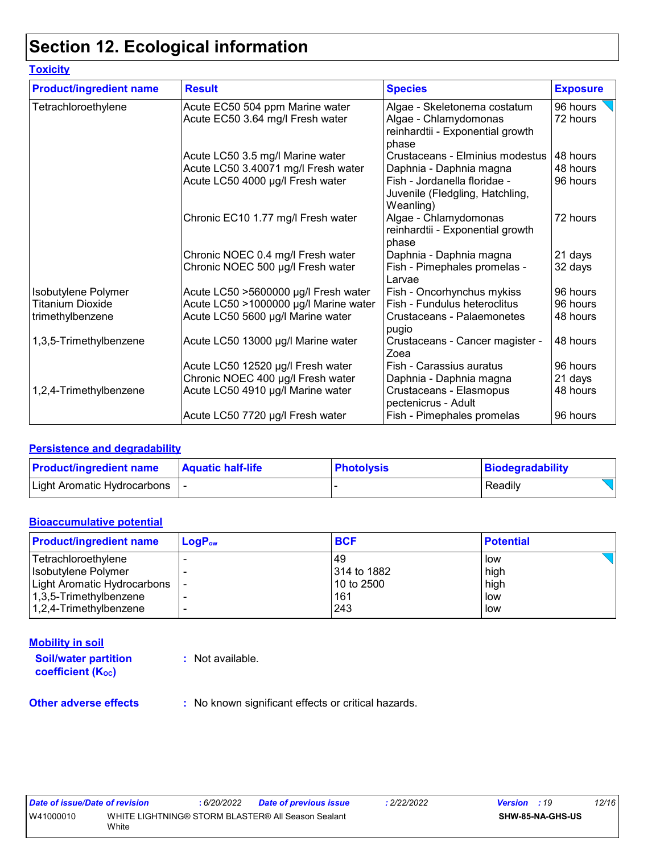# **Section 12. Ecological information**

| <b>Toxicity</b>                |                                                                     |                                                                                                    |                      |
|--------------------------------|---------------------------------------------------------------------|----------------------------------------------------------------------------------------------------|----------------------|
| <b>Product/ingredient name</b> | <b>Result</b>                                                       | <b>Species</b>                                                                                     | <b>Exposure</b>      |
| Tetrachloroethylene            | Acute EC50 504 ppm Marine water<br>Acute EC50 3.64 mg/l Fresh water | Algae - Skeletonema costatum<br>Algae - Chlamydomonas<br>reinhardtii - Exponential growth<br>phase | 96 hours<br>72 hours |
|                                | Acute LC50 3.5 mg/l Marine water                                    | Crustaceans - Elminius modestus                                                                    | 48 hours             |
|                                | Acute LC50 3.40071 mg/l Fresh water                                 | Daphnia - Daphnia magna                                                                            | 48 hours             |
|                                | Acute LC50 4000 µg/l Fresh water                                    | Fish - Jordanella floridae -<br>Juvenile (Fledgling, Hatchling,<br>Weanling)                       | 96 hours             |
|                                | Chronic EC10 1.77 mg/l Fresh water                                  | Algae - Chlamydomonas<br>reinhardtii - Exponential growth<br>phase                                 | 72 hours             |
|                                | Chronic NOEC 0.4 mg/l Fresh water                                   | Daphnia - Daphnia magna                                                                            | 21 days              |
|                                | Chronic NOEC 500 µg/l Fresh water                                   | Fish - Pimephales promelas -<br>Larvae                                                             | 32 days              |
| Isobutylene Polymer            | Acute LC50 >5600000 µg/l Fresh water                                | Fish - Oncorhynchus mykiss                                                                         | 96 hours             |
| <b>Titanium Dioxide</b>        | Acute LC50 >1000000 µg/l Marine water                               | Fish - Fundulus heteroclitus                                                                       | 96 hours             |
| trimethylbenzene               | Acute LC50 5600 µg/l Marine water                                   | Crustaceans - Palaemonetes<br>pugio                                                                | 48 hours             |
| 1,3,5-Trimethylbenzene         | Acute LC50 13000 µg/l Marine water                                  | Crustaceans - Cancer magister -<br>Zoea                                                            | 48 hours             |
|                                | Acute LC50 12520 µg/l Fresh water                                   | Fish - Carassius auratus                                                                           | 96 hours             |
|                                | Chronic NOEC 400 µg/l Fresh water                                   | Daphnia - Daphnia magna                                                                            | 21 days              |
| 1,2,4-Trimethylbenzene         | Acute LC50 4910 µg/l Marine water                                   | Crustaceans - Elasmopus<br>pectenicrus - Adult                                                     | 48 hours             |
|                                | Acute LC50 7720 µg/l Fresh water                                    | Fish - Pimephales promelas                                                                         | 96 hours             |

#### **Persistence and degradability**

| <b>Product/ingredient name</b> | <b>Aquatic half-life</b> | <b>Photolysis</b> | Biodegradability |
|--------------------------------|--------------------------|-------------------|------------------|
| Light Aromatic Hydrocarbons    |                          |                   | Readily          |

#### **Bioaccumulative potential**

| <b>Product/ingredient name</b> | $LogP_{ow}$ | <b>BCF</b>  | <b>Potential</b> |
|--------------------------------|-------------|-------------|------------------|
| Tetrachloroethylene            |             | 49          | low              |
| Isobutylene Polymer            |             | 314 to 1882 | high             |
| Light Aromatic Hydrocarbons    |             | 10 to 2500  | high             |
| 1,3,5-Trimethylbenzene         |             | 161         | low              |
| 1,2,4-Trimethylbenzene         |             | 243         | low              |

#### **Mobility in soil**

**Soil/water partition coefficient** (K<sub>oc</sub>)

**:** Not available.

**Other adverse effects** : No known significant effects or critical hazards.

| Date of issue/Date of revision |       | : 6/20/2022 | <b>Date of previous issue</b>                      | 2/22/2022 | <b>Version</b> : 19 |                         | 12/16 |
|--------------------------------|-------|-------------|----------------------------------------------------|-----------|---------------------|-------------------------|-------|
| W41000010                      | White |             | WHITE LIGHTNING® STORM BLASTER® All Season Sealant |           |                     | <b>SHW-85-NA-GHS-US</b> |       |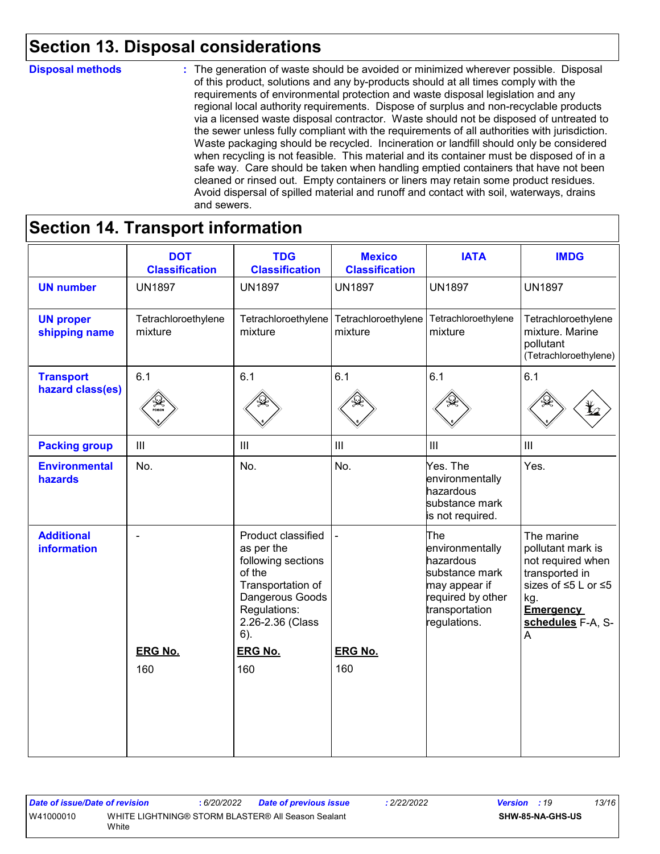# **Section 13. Disposal considerations**

#### **Disposal methods :**

The generation of waste should be avoided or minimized wherever possible. Disposal of this product, solutions and any by-products should at all times comply with the requirements of environmental protection and waste disposal legislation and any regional local authority requirements. Dispose of surplus and non-recyclable products via a licensed waste disposal contractor. Waste should not be disposed of untreated to the sewer unless fully compliant with the requirements of all authorities with jurisdiction. Waste packaging should be recycled. Incineration or landfill should only be considered when recycling is not feasible. This material and its container must be disposed of in a safe way. Care should be taken when handling emptied containers that have not been cleaned or rinsed out. Empty containers or liners may retain some product residues. Avoid dispersal of spilled material and runoff and contact with soil, waterways, drains and sewers.

# **Section 14. Transport information**

|                                         | <b>DOT</b><br><b>Classification</b> | <b>TDG</b><br><b>Classification</b>                                                                                                                    | <b>Mexico</b><br><b>Classification</b>               | <b>IATA</b>                                                                                                                   | <b>IMDG</b>                                                                                                                                        |
|-----------------------------------------|-------------------------------------|--------------------------------------------------------------------------------------------------------------------------------------------------------|------------------------------------------------------|-------------------------------------------------------------------------------------------------------------------------------|----------------------------------------------------------------------------------------------------------------------------------------------------|
| <b>UN number</b>                        | <b>UN1897</b>                       | <b>UN1897</b>                                                                                                                                          | <b>UN1897</b>                                        | <b>UN1897</b>                                                                                                                 | <b>UN1897</b>                                                                                                                                      |
| <b>UN proper</b><br>shipping name       | Tetrachloroethylene<br>mixture      | mixture                                                                                                                                                | Tetrachloroethylene   Tetrachloroethylene<br>mixture | Tetrachloroethylene<br>mixture                                                                                                | Tetrachloroethylene<br>mixture. Marine<br>pollutant<br>(Tetrachloroethylene)                                                                       |
| <b>Transport</b><br>hazard class(es)    | 6.1                                 | 6.1                                                                                                                                                    | 6.1                                                  | 6.1                                                                                                                           | 6.1                                                                                                                                                |
| <b>Packing group</b>                    | $\mathbf{III}$                      | $\ensuremath{\mathsf{III}}\xspace$                                                                                                                     | $\mathop{\rm III}$                                   | III                                                                                                                           | III                                                                                                                                                |
| <b>Environmental</b><br>hazards         | No.                                 | No.                                                                                                                                                    | No.                                                  | Yes. The<br>environmentally<br>hazardous<br>substance mark<br>is not required.                                                | Yes.                                                                                                                                               |
| <b>Additional</b><br><b>information</b> | $\overline{a}$                      | Product classified<br>as per the<br>following sections<br>of the<br>Transportation of<br>Dangerous Goods<br>Regulations:<br>2.26-2.36 (Class<br>$6)$ . |                                                      | The<br>environmentally<br>hazardous<br>substance mark<br>may appear if<br>required by other<br>transportation<br>regulations. | The marine<br>pollutant mark is<br>not required when<br>transported in<br>sizes of ≤5 L or ≤5<br>kg.<br><b>Emergency</b><br>schedules F-A, S-<br>A |
|                                         | <b>ERG No.</b>                      | <b>ERG No.</b>                                                                                                                                         | <b>ERG No.</b>                                       |                                                                                                                               |                                                                                                                                                    |
|                                         | 160                                 | 160                                                                                                                                                    | 160                                                  |                                                                                                                               |                                                                                                                                                    |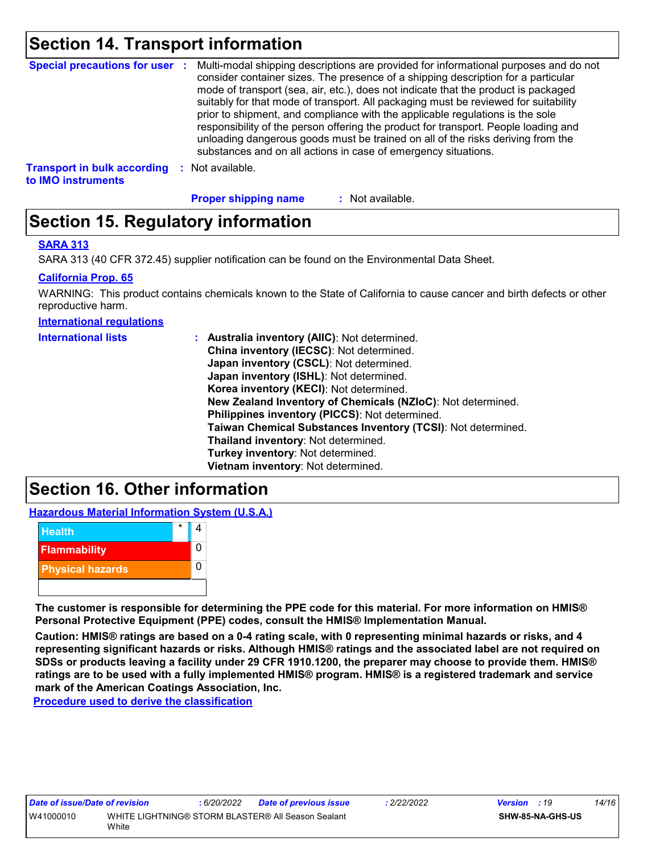### **Section 14. Transport information**

| <b>Special precautions for user :</b> |      | Multi-modal shipping descriptions are provided for informational purposes and do not<br>consider container sizes. The presence of a shipping description for a particular<br>mode of transport (sea, air, etc.), does not indicate that the product is packaged<br>suitably for that mode of transport. All packaging must be reviewed for suitability<br>prior to shipment, and compliance with the applicable regulations is the sole<br>responsibility of the person offering the product for transport. People loading and<br>unloading dangerous goods must be trained on all of the risks deriving from the<br>substances and on all actions in case of emergency situations. |
|---------------------------------------|------|-------------------------------------------------------------------------------------------------------------------------------------------------------------------------------------------------------------------------------------------------------------------------------------------------------------------------------------------------------------------------------------------------------------------------------------------------------------------------------------------------------------------------------------------------------------------------------------------------------------------------------------------------------------------------------------|
| <b>Transport in bulk according</b>    | - 50 | Not available.                                                                                                                                                                                                                                                                                                                                                                                                                                                                                                                                                                                                                                                                      |

**to IMO instruments**

**Proper shipping name :**

: Not available.

## **Section 15. Regulatory information**

#### **SARA 313**

SARA 313 (40 CFR 372.45) supplier notification can be found on the Environmental Data Sheet.

#### **California Prop. 65**

WARNING: This product contains chemicals known to the State of California to cause cancer and birth defects or other reproductive harm.

**International regulations**

| <b>International lists</b> | : Australia inventory (AIIC): Not determined.<br>China inventory (IECSC): Not determined.<br>Japan inventory (CSCL): Not determined.<br>Japan inventory (ISHL): Not determined.<br>Korea inventory (KECI): Not determined.<br>New Zealand Inventory of Chemicals (NZIoC): Not determined.<br>Philippines inventory (PICCS): Not determined.<br>Taiwan Chemical Substances Inventory (TCSI): Not determined.<br>Thailand inventory: Not determined. |
|----------------------------|----------------------------------------------------------------------------------------------------------------------------------------------------------------------------------------------------------------------------------------------------------------------------------------------------------------------------------------------------------------------------------------------------------------------------------------------------|
|                            |                                                                                                                                                                                                                                                                                                                                                                                                                                                    |
|                            | Turkey inventory: Not determined.                                                                                                                                                                                                                                                                                                                                                                                                                  |
|                            | Vietnam inventory: Not determined.                                                                                                                                                                                                                                                                                                                                                                                                                 |

### **Section 16. Other information**

**Hazardous Material Information System (U.S.A.)**



**The customer is responsible for determining the PPE code for this material. For more information on HMIS® Personal Protective Equipment (PPE) codes, consult the HMIS® Implementation Manual.**

**Caution: HMIS® ratings are based on a 0-4 rating scale, with 0 representing minimal hazards or risks, and 4 representing significant hazards or risks. Although HMIS® ratings and the associated label are not required on SDSs or products leaving a facility under 29 CFR 1910.1200, the preparer may choose to provide them. HMIS® ratings are to be used with a fully implemented HMIS® program. HMIS® is a registered trademark and service mark of the American Coatings Association, Inc.**

**Procedure used to derive the classification**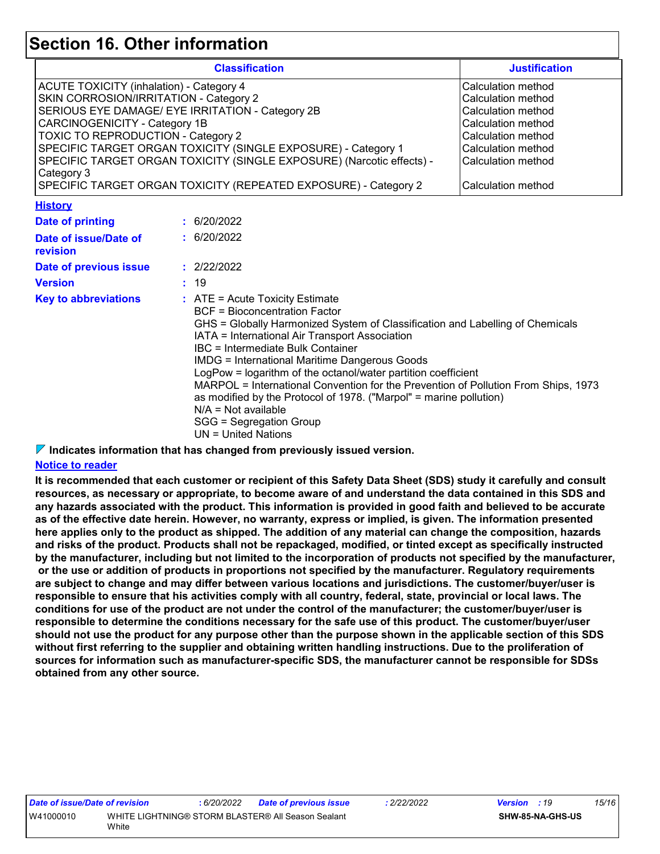### **Section 16. Other information**

|                                                                                                                                                                                                                                           |             | <b>Classification</b>                                                                                                                                                                                                                                                                                                                                                                                                                                                                                                                                                                                                    | <b>Justification</b>                                                                                                                                                         |
|-------------------------------------------------------------------------------------------------------------------------------------------------------------------------------------------------------------------------------------------|-------------|--------------------------------------------------------------------------------------------------------------------------------------------------------------------------------------------------------------------------------------------------------------------------------------------------------------------------------------------------------------------------------------------------------------------------------------------------------------------------------------------------------------------------------------------------------------------------------------------------------------------------|------------------------------------------------------------------------------------------------------------------------------------------------------------------------------|
| <b>ACUTE TOXICITY (inhalation) - Category 4</b><br>SKIN CORROSION/IRRITATION - Category 2<br>SERIOUS EYE DAMAGE/ EYE IRRITATION - Category 2B<br><b>CARCINOGENICITY - Category 1B</b><br>TOXIC TO REPRODUCTION - Category 2<br>Category 3 |             | SPECIFIC TARGET ORGAN TOXICITY (SINGLE EXPOSURE) - Category 1<br>SPECIFIC TARGET ORGAN TOXICITY (SINGLE EXPOSURE) (Narcotic effects) -<br>SPECIFIC TARGET ORGAN TOXICITY (REPEATED EXPOSURE) - Category 2                                                                                                                                                                                                                                                                                                                                                                                                                | Calculation method<br>Calculation method<br>Calculation method<br>Calculation method<br>Calculation method<br>Calculation method<br>Calculation method<br>Calculation method |
| <b>History</b>                                                                                                                                                                                                                            |             |                                                                                                                                                                                                                                                                                                                                                                                                                                                                                                                                                                                                                          |                                                                                                                                                                              |
| <b>Date of printing</b>                                                                                                                                                                                                                   | : 6/20/2022 |                                                                                                                                                                                                                                                                                                                                                                                                                                                                                                                                                                                                                          |                                                                                                                                                                              |
| Date of issue/Date of<br>revision                                                                                                                                                                                                         | : 6/20/2022 |                                                                                                                                                                                                                                                                                                                                                                                                                                                                                                                                                                                                                          |                                                                                                                                                                              |
| Date of previous issue                                                                                                                                                                                                                    | : 2/22/2022 |                                                                                                                                                                                                                                                                                                                                                                                                                                                                                                                                                                                                                          |                                                                                                                                                                              |
| <b>Version</b>                                                                                                                                                                                                                            | : 19        |                                                                                                                                                                                                                                                                                                                                                                                                                                                                                                                                                                                                                          |                                                                                                                                                                              |
| <b>Key to abbreviations</b>                                                                                                                                                                                                               |             | $:$ ATE = Acute Toxicity Estimate<br><b>BCF</b> = Bioconcentration Factor<br>GHS = Globally Harmonized System of Classification and Labelling of Chemicals<br>IATA = International Air Transport Association<br><b>IBC</b> = Intermediate Bulk Container<br><b>IMDG = International Maritime Dangerous Goods</b><br>LogPow = logarithm of the octanol/water partition coefficient<br>MARPOL = International Convention for the Prevention of Pollution From Ships, 1973<br>as modified by the Protocol of 1978. ("Marpol" = marine pollution)<br>$N/A = Not available$<br>SGG = Segregation Group<br>UN = United Nations |                                                                                                                                                                              |

**Indicates information that has changed from previously issued version.**

#### **Notice to reader**

**It is recommended that each customer or recipient of this Safety Data Sheet (SDS) study it carefully and consult resources, as necessary or appropriate, to become aware of and understand the data contained in this SDS and any hazards associated with the product. This information is provided in good faith and believed to be accurate as of the effective date herein. However, no warranty, express or implied, is given. The information presented here applies only to the product as shipped. The addition of any material can change the composition, hazards and risks of the product. Products shall not be repackaged, modified, or tinted except as specifically instructed by the manufacturer, including but not limited to the incorporation of products not specified by the manufacturer, or the use or addition of products in proportions not specified by the manufacturer. Regulatory requirements are subject to change and may differ between various locations and jurisdictions. The customer/buyer/user is responsible to ensure that his activities comply with all country, federal, state, provincial or local laws. The conditions for use of the product are not under the control of the manufacturer; the customer/buyer/user is responsible to determine the conditions necessary for the safe use of this product. The customer/buyer/user should not use the product for any purpose other than the purpose shown in the applicable section of this SDS without first referring to the supplier and obtaining written handling instructions. Due to the proliferation of sources for information such as manufacturer-specific SDS, the manufacturer cannot be responsible for SDSs obtained from any other source.**